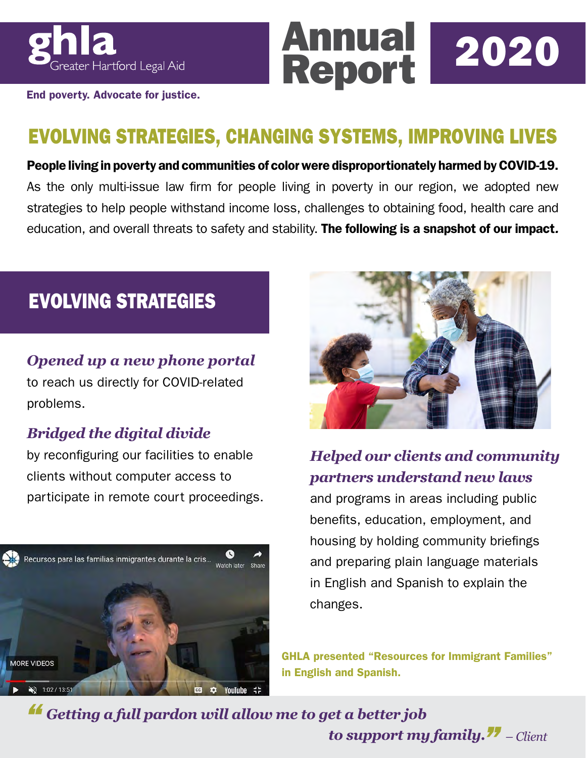

End poverty. Advocate for justice.

## EVOLVING STRATEGIES, CHANGING SYSTEMS, IMPROVING LIVES

Annual

People living in poverty and communities of color were disproportionately harmed by COVID-19. As the only multi-issue law firm for people living in poverty in our region, we adopted new strategies to help people withstand income loss, challenges to obtaining food, health care and education, and overall threats to safety and stability. The following is a snapshot of our impact*.*

### EVOLVING STRATEGIES

#### *Opened up a new phone portal*

to reach us directly for COVID-related problems.

#### *Bridged the digital divide*

by reconfiguring our facilities to enable clients without computer access to participate in remote court proceedings.





Report 2020

#### *Helped our clients and community partners understand new laws*

and programs in areas including public benefits, education, employment, and housing by holding community briefings and preparing plain language materials in English and Spanish to explain the changes.

GHLA presented "Resources for Immigrant Families" in English and Spanish.

*Getting a full pardon will allow me to get a better job to support my family.*  $\boldsymbol{H}$  – Client *"*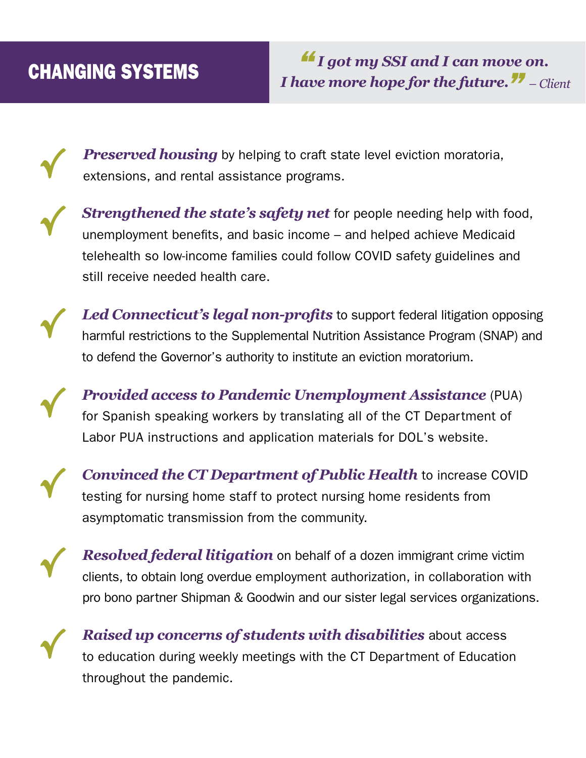√

√

√

√

√

√

√

*Preserved housing* by helping to craft state level eviction moratoria, extensions, and rental assistance programs.

*Strengthened the state's safety net* for people needing help with food, unemployment benefits, and basic income – and helped achieve Medicaid telehealth so low-income families could follow COVID safety guidelines and still receive needed health care.

*Led Connecticut's legal non-profits* to support federal litigation opposing harmful restrictions to the Supplemental Nutrition Assistance Program (SNAP) and to defend the Governor's authority to institute an eviction moratorium.

*Provided access to Pandemic Unemployment Assistance* (PUA) for Spanish speaking workers by translating all of the CT Department of Labor PUA instructions and application materials for DOL's website.

*Convinced the CT Department of Public Health* to increase COVID testing for nursing home staff to protect nursing home residents from asymptomatic transmission from the community.

*Resolved federal litigation* on behalf of a dozen immigrant crime victim clients, to obtain long overdue employment authorization, in collaboration with pro bono partner Shipman & Goodwin and our sister legal services organizations.

*Raised up concerns of students with disabilities* about access to education during weekly meetings with the CT Department of Education throughout the pandemic.